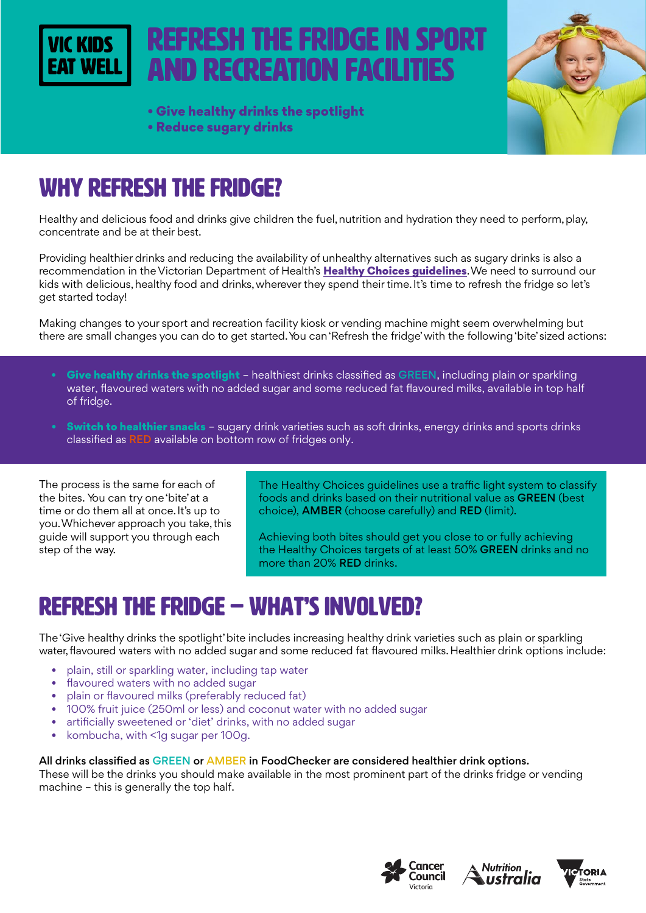

# refresh the fridge in sport and recreation facilities

- Give healthy drinks the spotlight
- Reduce sugary drinks



## WHY refresh the fridge?

Healthy and delicious food and drinks give children the fuel, nutrition and hydration they need to perform, play, concentrate and be at their best.

Providing healthier drinks and reducing the availability of unhealthy alternatives such as sugary drinks is also a recommendation in the Victorian Department of Health's Healthy Choices quidelines. We need to surround our kids with delicious, healthy food and drinks, wherever they spend their time. It's time to refresh the fridge so let's get started today!

Making changes to your sport and recreation facility kiosk or vending machine might seem overwhelming but there are small changes you can do to get started. You can 'Refresh the fridge' with the following 'bite' sized actions:

- Give healthy drinks the spotlight healthiest drinks classified as GREEN, including plain or sparkling water, flavoured waters with no added sugar and some reduced fat flavoured milks, available in top half of fridge.
- Switch to healthier snacks sugary drink varieties such as soft drinks, energy drinks and sports drinks classified as RED available on bottom row of fridges only.

The process is the same for each of the bites. You can try one 'bite' at a time or do them all at once. It's up to you. Whichever approach you take, this guide will support you through each step of the way.

The Healthy Choices guidelines use a traffic light system to classify foods and drinks based on their nutritional value as GREEN (best choice), AMBER (choose carefully) and RED (limit).

Achieving both bites should get you close to or fully achieving the Healthy Choices targets of at least 50% GREEN drinks and no more than 20% RED drinks.

# refresh the fridge – WHAT'S INVOLVED?

The 'Give healthy drinks the spotlight' bite includes increasing healthy drink varieties such as plain or sparkling water, flavoured waters with no added sugar and some reduced fat flavoured milks. Healthier drink options include:

- plain, still or sparkling water, including tap water
- flavoured waters with no added sugar
- plain or flavoured milks (preferably reduced fat)
- 100% fruit juice (250ml or less) and coconut water with no added sugar
- artificially sweetened or 'diet' drinks, with no added sugar
- kombucha, with <1g sugar per 100g.

#### All drinks classified as GREEN or AMBER in FoodChecker are considered healthier drink options.

These will be the drinks you should make available in the most prominent part of the drinks fridge or vending machine – this is generally the top half.





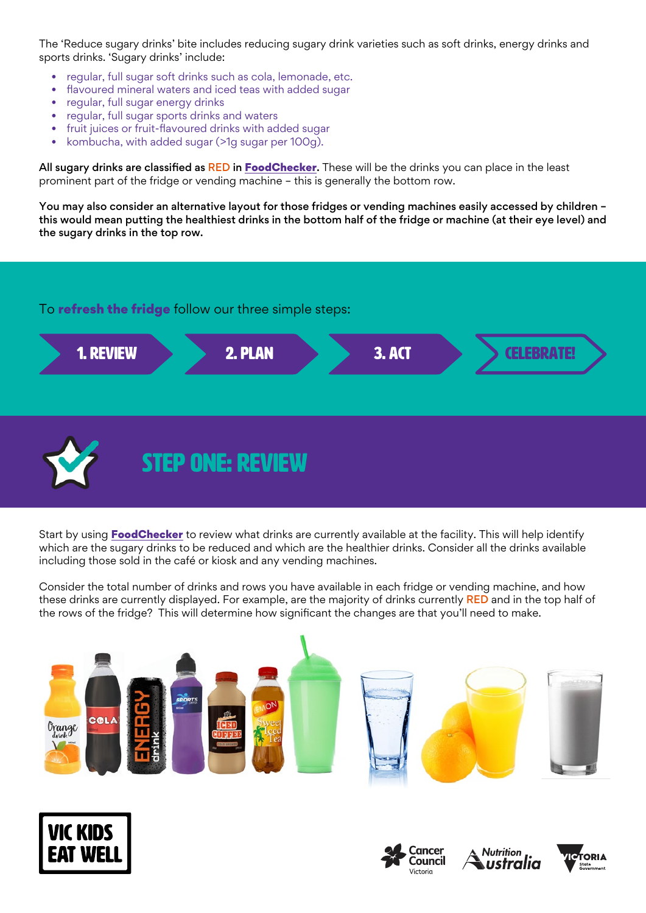The 'Reduce sugary drinks' bite includes reducing sugary drink varieties such as soft drinks, energy drinks and sports drinks. 'Sugary drinks' include:

- regular, full sugar soft drinks such as cola, lemonade, etc.
- flavoured mineral waters and iced teas with added sugar
- regular, full sugar energy drinks
- regular, full sugar sports drinks and waters
- fruit juices or fruit-flavoured drinks with added sugar
- kombucha, with added sugar (>1g sugar per 100g).

All sugary drinks are classified as RED in [FoodChecker](https://foodchecker.heas.health.vic.gov.au/). These will be the drinks you can place in the least prominent part of the fridge or vending machine – this is generally the bottom row.

You may also consider an alternative layout for those fridges or vending machines easily accessed by children – this would mean putting the healthiest drinks in the bottom half of the fridge or machine (at their eye level) and the sugary drinks in the top row.

#### To **refresh the fridge** follow our three simple steps:





Start by using [FoodChecker](https://foodchecker.heas.health.vic.gov.au/) to review what drinks are currently available at the facility. This will help identify which are the sugary drinks to be reduced and which are the healthier drinks. Consider all the drinks available including those sold in the café or kiosk and any vending machines.

Consider the total number of drinks and rows you have available in each fridge or vending machine, and how these drinks are currently displayed. For example, are the majority of drinks currently RED and in the top half of the rows of the fridge? This will determine how significant the changes are that you'll need to make.









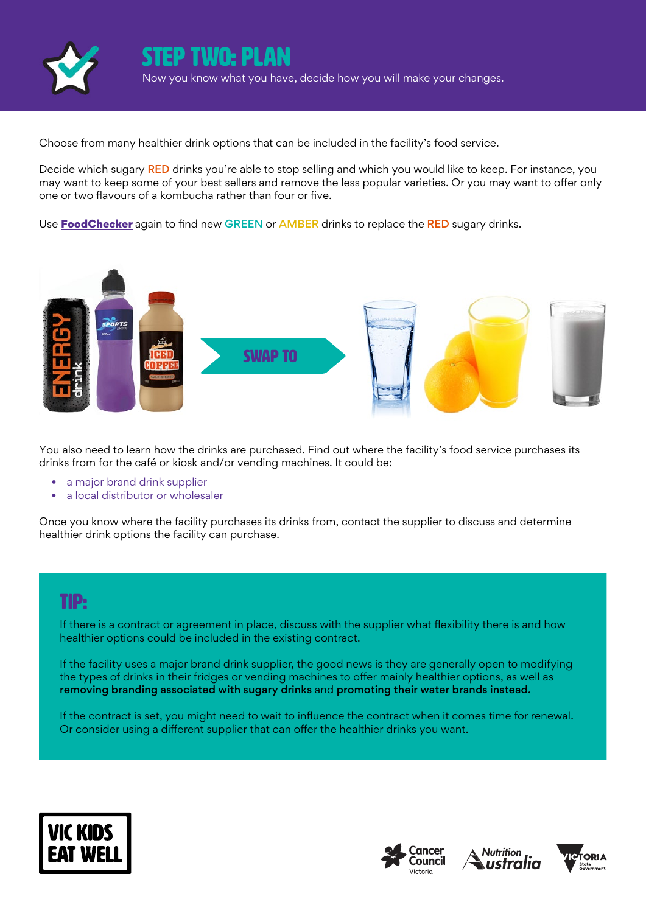

STEP two: plan Now you know what you have, decide how you will make your changes.

Choose from many healthier drink options that can be included in the facility's food service.

Decide which sugary RED drinks you're able to stop selling and which you would like to keep. For instance, you may want to keep some of your best sellers and remove the less popular varieties. Or you may want to offer only one or two flavours of a kombucha rather than four or five.

Use **[FoodChecker](https://foodchecker.heas.health.vic.gov.au/)** again to find new GREEN or AMBER drinks to replace the RED sugary drinks.



You also need to learn how the drinks are purchased. Find out where the facility's food service purchases its drinks from for the café or kiosk and/or vending machines. It could be:

- a major brand drink supplier
- a local distributor or wholesaler

Once you know where the facility purchases its drinks from, contact the supplier to discuss and determine healthier drink options the facility can purchase.

### TIP:

If there is a contract or agreement in place, discuss with the supplier what flexibility there is and how healthier options could be included in the existing contract.

If the facility uses a major brand drink supplier, the good news is they are generally open to modifying the types of drinks in their fridges or vending machines to offer mainly healthier options, as well as removing branding associated with sugary drinks and promoting their water brands instead.

If the contract is set, you might need to wait to influence the contract when it comes time for renewal. Or consider using a different supplier that can offer the healthier drinks you want.







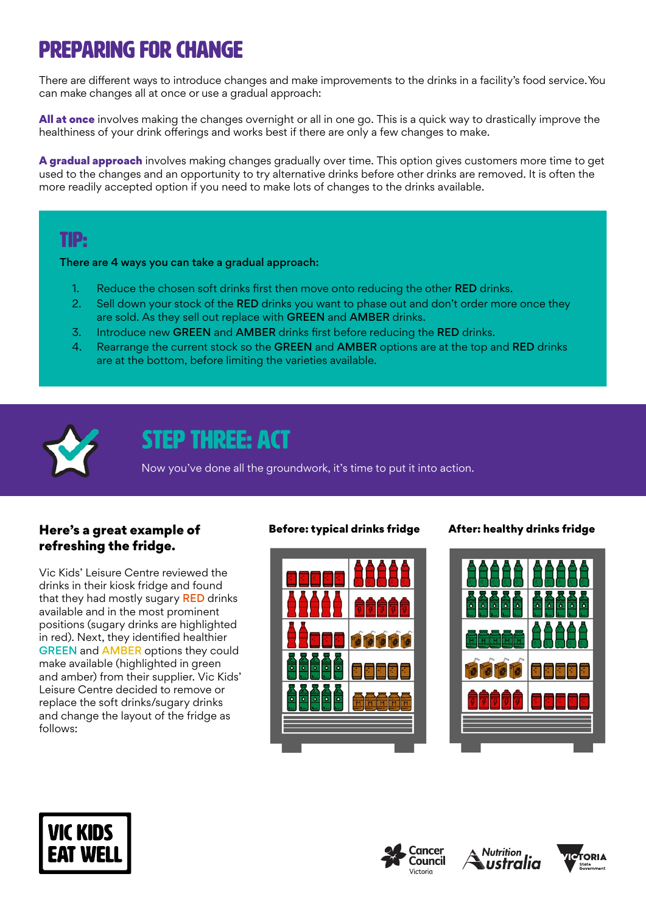# Preparing for change

There are different ways to introduce changes and make improvements to the drinks in a facility's food service. You can make changes all at once or use a gradual approach:

All at once involves making the changes overnight or all in one go. This is a quick way to drastically improve the healthiness of your drink offerings and works best if there are only a few changes to make.

A gradual approach involves making changes gradually over time. This option gives customers more time to get used to the changes and an opportunity to try alternative drinks before other drinks are removed. It is often the more readily accepted option if you need to make lots of changes to the drinks available.

### TIP:

There are 4 ways you can take a gradual approach:

- 1. Reduce the chosen soft drinks first then move onto reducing the other RED drinks.
- 2. Sell down your stock of the RED drinks you want to phase out and don't order more once they are sold. As they sell out replace with GREEN and AMBER drinks.
- 3. Introduce new GREEN and AMBER drinks first before reducing the RED drinks.
- 4. Rearrange the current stock so the GREEN and AMBER options are at the top and RED drinks are at the bottom, before limiting the varieties available.



### STEP THREE: ACT

Now you've done all the groundwork, it's time to put it into action.

#### Here's a great example of refreshing the fridge.

Vic Kids' Leisure Centre reviewed the drinks in their kiosk fridge and found that they had mostly sugary RED drinks available and in the most prominent positions (sugary drinks are highlighted in red). Next, they identified healthier GREEN and AMBER options they could make available (highlighted in green and amber) from their supplier. Vic Kids' Leisure Centre decided to remove or replace the soft drinks/sugary drinks and change the layout of the fridge as follows:



#### Before: typical drinks fridge After: healthy drinks fridge









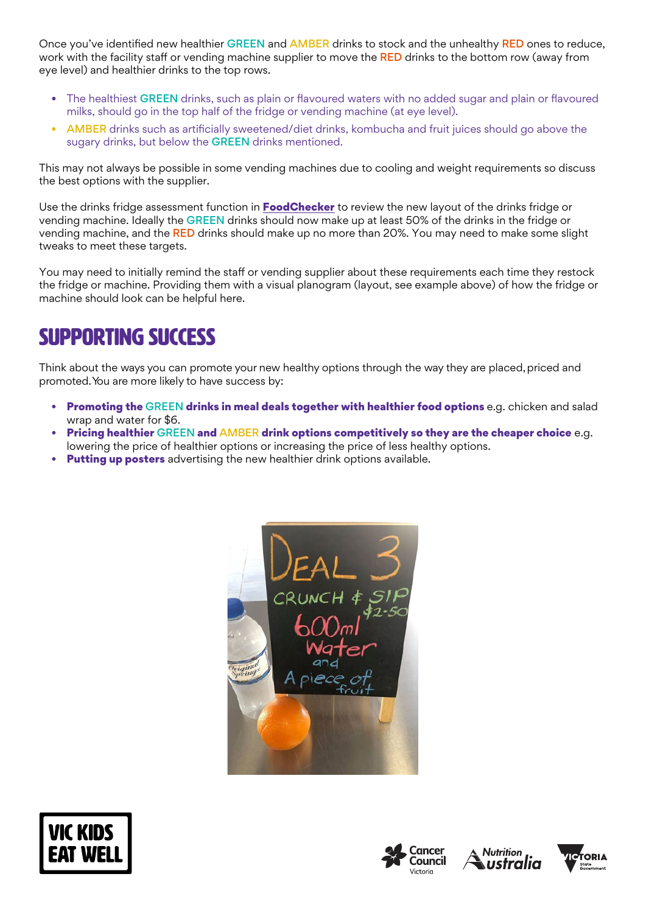Once you've identified new healthier GREEN and AMBER drinks to stock and the unhealthy RED ones to reduce, work with the facility staff or vending machine supplier to move the RED drinks to the bottom row (away from eye level) and healthier drinks to the top rows.

- The healthiest GREEN drinks, such as plain or flavoured waters with no added sugar and plain or flavoured milks, should go in the top half of the fridge or vending machine (at eye level).
- AMBER drinks such as artificially sweetened/diet drinks, kombucha and fruit juices should go above the sugary drinks, but below the **GREEN** drinks mentioned.

This may not always be possible in some vending machines due to cooling and weight requirements so discuss the best options with the supplier.

Use the drinks fridge assessment function in **[FoodChecker](https://foodchecker.heas.health.vic.gov.au/)** to review the new layout of the drinks fridge or vending machine. Ideally the GREEN drinks should now make up at least 50% of the drinks in the fridge or vending machine, and the RED drinks should make up no more than 20%. You may need to make some slight tweaks to meet these targets.

You may need to initially remind the staff or vending supplier about these requirements each time they restock the fridge or machine. Providing them with a visual planogram (layout, see example above) of how the fridge or machine should look can be helpful here.

## SUPPORTING SUCCESS

Think about the ways you can promote your new healthy options through the way they are placed, priced and promoted. You are more likely to have success by:

- Promoting the GREEN drinks in meal deals together with healthier food options e.g. chicken and salad wrap and water for \$6.
- **Pricing healthier** GREEN and AMBER drink options competitively so they are the cheaper choice e.g. lowering the price of healthier options or increasing the price of less healthy options.
- **Putting up posters** advertising the new healthier drink options available.